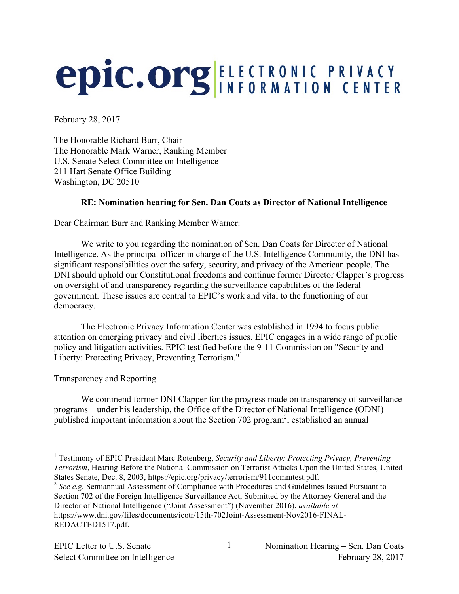# **epic.org ELECTRONIC PRIVACY**

February 28, 2017

The Honorable Richard Burr, Chair The Honorable Mark Warner, Ranking Member U.S. Senate Select Committee on Intelligence 211 Hart Senate Office Building Washington, DC 20510

# **RE: Nomination hearing for Sen. Dan Coats as Director of National Intelligence**

Dear Chairman Burr and Ranking Member Warner:

We write to you regarding the nomination of Sen. Dan Coats for Director of National Intelligence. As the principal officer in charge of the U.S. Intelligence Community, the DNI has significant responsibilities over the safety, security, and privacy of the American people. The DNI should uphold our Constitutional freedoms and continue former Director Clapper's progress on oversight of and transparency regarding the surveillance capabilities of the federal government. These issues are central to EPIC's work and vital to the functioning of our democracy.

The Electronic Privacy Information Center was established in 1994 to focus public attention on emerging privacy and civil liberties issues. EPIC engages in a wide range of public policy and litigation activities. EPIC testified before the 9-11 Commission on "Security and Liberty: Protecting Privacy, Preventing Terrorism."<sup>1</sup>

### Transparency and Reporting

We commend former DNI Clapper for the progress made on transparency of surveillance programs – under his leadership, the Office of the Director of National Intelligence (ODNI) published important information about the Section 702 program<sup>2</sup>, established an annual

 <sup>1</sup> Testimony of EPIC President Marc Rotenberg, *Security and Liberty: Protecting Privacy, Preventing Terrorism*, Hearing Before the National Commission on Terrorist Attacks Upon the United States, United States Senate, Dec. 8, 2003, https://epic.org/privacy/terrorism/911commtest.pdf.

<sup>2</sup> *See e.g.* Semiannual Assessment of Compliance with Procedures and Guidelines Issued Pursuant to Section 702 of the Foreign Intelligence Surveillance Act, Submitted by the Attorney General and the Director of National Intelligence ("Joint Assessment") (November 2016), *available at* https://www.dni.gov/files/documents/icotr/15th-702Joint-Assessment-Nov2016-FINAL-REDACTED1517.pdf.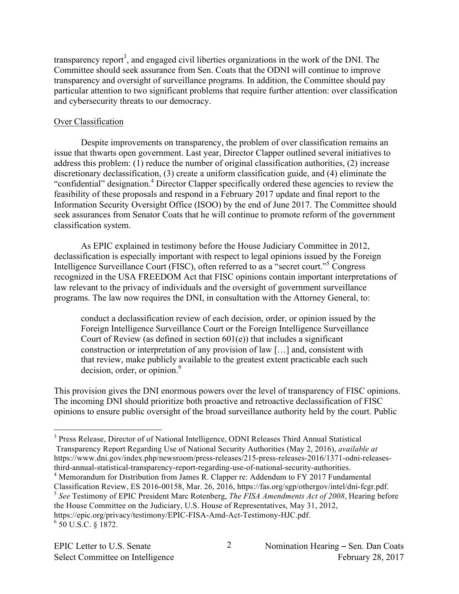transparency report<sup>3</sup>, and engaged civil liberties organizations in the work of the DNI. The Committee should seek assurance from Sen. Coats that the ODNI will continue to improve transparency and oversight of surveillance programs. In addition, the Committee should pay particular attention to two significant problems that require further attention: over classification and cybersecurity threats to our democracy.

# Over Classification

Despite improvements on transparency, the problem of over classification remains an issue that thwarts open government. Last year, Director Clapper outlined several initiatives to address this problem: (1) reduce the number of original classification authorities, (2) increase discretionary declassification, (3) create a uniform classification guide, and (4) eliminate the "confidential" designation.<sup>4</sup> Director Clapper specifically ordered these agencies to review the feasibility of these proposals and respond in a February 2017 update and final report to the Information Security Oversight Office (ISOO) by the end of June 2017. The Committee should seek assurances from Senator Coats that he will continue to promote reform of the government classification system.

As EPIC explained in testimony before the House Judiciary Committee in 2012, declassification is especially important with respect to legal opinions issued by the Foreign Intelligence Surveillance Court (FISC), often referred to as a "secret court."5 Congress recognized in the USA FREEDOM Act that FISC opinions contain important interpretations of law relevant to the privacy of individuals and the oversight of government surveillance programs. The law now requires the DNI, in consultation with the Attorney General, to:

conduct a declassification review of each decision, order, or opinion issued by the Foreign Intelligence Surveillance Court or the Foreign Intelligence Surveillance Court of Review (as defined in section  $601(e)$ ) that includes a significant construction or interpretation of any provision of law […] and, consistent with that review, make publicly available to the greatest extent practicable each such  $decision, order, or opinion.<sup>6</sup>$ 

This provision gives the DNI enormous powers over the level of transparency of FISC opinions. The incoming DNI should prioritize both proactive and retroactive declassification of FISC opinions to ensure public oversight of the broad surveillance authority held by the court. Public

 <sup>3</sup> Press Release, Director of of National Intelligence, ODNI Releases Third Annual Statistical Transparency Report Regarding Use of National Security Authorities (May 2, 2016), *available at* https://www.dni.gov/index.php/newsroom/press-releases/215-press-releases-2016/1371-odni-releasesthird-annual-statistical-transparency-report-regarding-use-of-national-security-authorities.

<sup>&</sup>lt;sup>4</sup> Memorandum for Distribution from James R. Clapper re: Addendum to FY 2017 Fundamental Classification Review, ES 2016-00158, Mar. 26, 2016, https://fas.org/sgp/othergov/intel/dni-fcgr.pdf.<br>
<sup>5</sup> See Testimony of EPIC President Marc Rotenberg, *The FISA Amendments Act of 2008*, Hearing before the House Committee on the Judiciary, U.S. House of Representatives, May 31, 2012, https://epic.org/privacy/testimony/EPIC-FISA-Amd-Act-Testimony-HJC.pdf.

 $6$  50 U.S.C. § 1872.